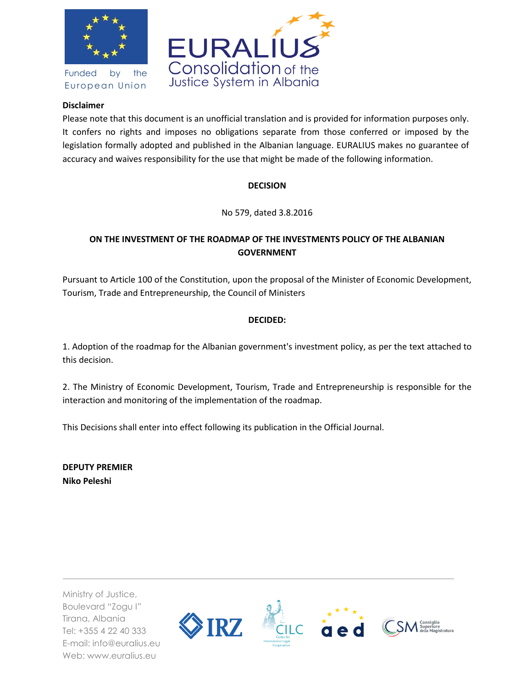

Funded by the European Union



### **Disclaimer**

Please note that this document is an unofficial translation and is provided for information purposes only. It confers no rights and imposes no obligations separate from those conferred or imposed by the legislation formally adopted and published in the Albanian language. EURALIUS makes no guarantee of accuracy and waives responsibility for the use that might be made of the following information.

## **DECISION**

No 579, dated 3.8.2016

# **ON THE INVESTMENT OF THE ROADMAP OF THE INVESTMENTS POLICY OF THE ALBANIAN GOVERNMENT**

Pursuant to Article 100 of the Constitution, upon the proposal of the Minister of Economic Development, Tourism, Trade and Entrepreneurship, the Council of Ministers

# **DECIDED:**

1. Adoption of the roadmap for the Albanian government's investment policy, as per the text attached to this decision.

2. The Ministry of Economic Development, Tourism, Trade and Entrepreneurship is responsible for the interaction and monitoring of the implementation of the roadmap.

This Decisions shall enter into effect following its publication in the Official Journal.

**DEPUTY PREMIER Niko Peleshi**

Ministry of Justice, Boulevard "Zogu I" Tirana, Albania Tel: +355 4 22 40 333 E-mail: info@euralius.eu Web: www.euralius.eu

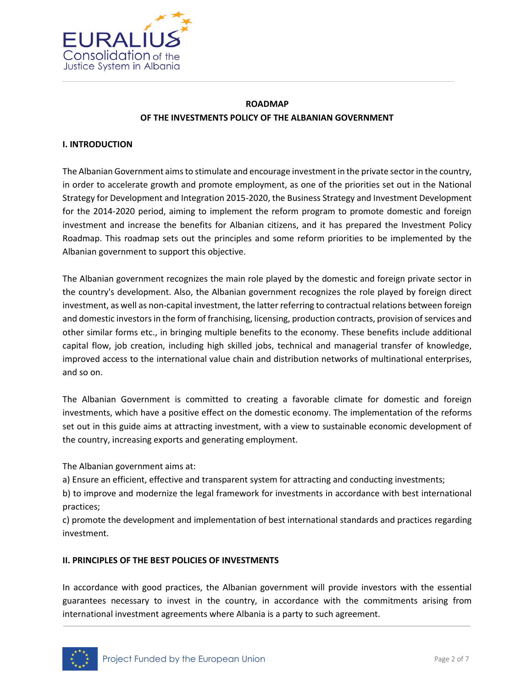

# **ROADMAP OF THE INVESTMENTS POLICY OF THE ALBANIAN GOVERNMENT**

#### **I. INTRODUCTION**

The Albanian Government aims to stimulate and encourage investment in the private sector in the country, in order to accelerate growth and promote employment, as one of the priorities set out in the National Strategy for Development and Integration 2015-2020, the Business Strategy and Investment Development for the 2014-2020 period, aiming to implement the reform program to promote domestic and foreign investment and increase the benefits for Albanian citizens, and it has prepared the Investment Policy Roadmap. This roadmap sets out the principles and some reform priorities to be implemented by the Albanian government to support this objective.

The Albanian government recognizes the main role played by the domestic and foreign private sector in the country's development. Also, the Albanian government recognizes the role played by foreign direct investment, as well as non-capital investment, the latter referring to contractual relations between foreign and domestic investors in the form of franchising, licensing, production contracts, provision of services and other similar forms etc., in bringing multiple benefits to the economy. These benefits include additional capital flow, job creation, including high skilled jobs, technical and managerial transfer of knowledge, improved access to the international value chain and distribution networks of multinational enterprises, and so on.

The Albanian Government is committed to creating a favorable climate for domestic and foreign investments, which have a positive effect on the domestic economy. The implementation of the reforms set out in this guide aims at attracting investment, with a view to sustainable economic development of the country, increasing exports and generating employment.

The Albanian government aims at:

a) Ensure an efficient, effective and transparent system for attracting and conducting investments;

b) to improve and modernize the legal framework for investments in accordance with best international practices;

c) promote the development and implementation of best international standards and practices regarding investment.

#### **II. PRINCIPLES OF THE BEST POLICIES OF INVESTMENTS**

In accordance with good practices, the Albanian government will provide investors with the essential guarantees necessary to invest in the country, in accordance with the commitments arising from international investment agreements where Albania is a party to such agreement.

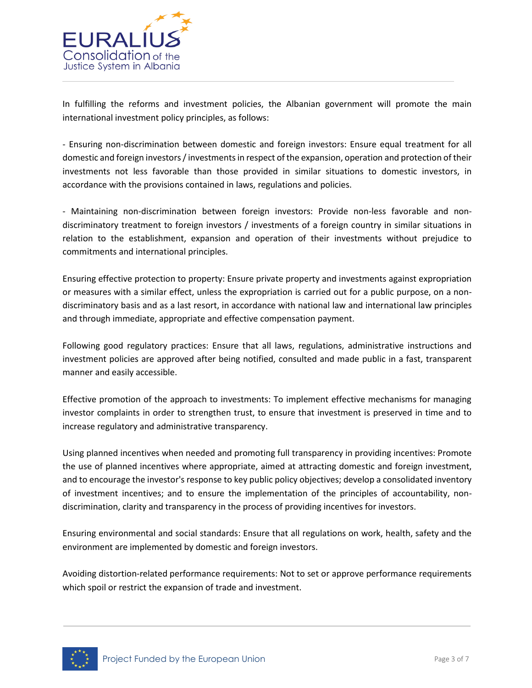

In fulfilling the reforms and investment policies, the Albanian government will promote the main international investment policy principles, as follows:

- Ensuring non-discrimination between domestic and foreign investors: Ensure equal treatment for all domestic and foreign investors / investments in respect of the expansion, operation and protection of their investments not less favorable than those provided in similar situations to domestic investors, in accordance with the provisions contained in laws, regulations and policies.

- Maintaining non-discrimination between foreign investors: Provide non-less favorable and nondiscriminatory treatment to foreign investors / investments of a foreign country in similar situations in relation to the establishment, expansion and operation of their investments without prejudice to commitments and international principles.

Ensuring effective protection to property: Ensure private property and investments against expropriation or measures with a similar effect, unless the expropriation is carried out for a public purpose, on a nondiscriminatory basis and as a last resort, in accordance with national law and international law principles and through immediate, appropriate and effective compensation payment.

Following good regulatory practices: Ensure that all laws, regulations, administrative instructions and investment policies are approved after being notified, consulted and made public in a fast, transparent manner and easily accessible.

Effective promotion of the approach to investments: To implement effective mechanisms for managing investor complaints in order to strengthen trust, to ensure that investment is preserved in time and to increase regulatory and administrative transparency.

Using planned incentives when needed and promoting full transparency in providing incentives: Promote the use of planned incentives where appropriate, aimed at attracting domestic and foreign investment, and to encourage the investor's response to key public policy objectives; develop a consolidated inventory of investment incentives; and to ensure the implementation of the principles of accountability, nondiscrimination, clarity and transparency in the process of providing incentives for investors.

Ensuring environmental and social standards: Ensure that all regulations on work, health, safety and the environment are implemented by domestic and foreign investors.

Avoiding distortion-related performance requirements: Not to set or approve performance requirements which spoil or restrict the expansion of trade and investment.

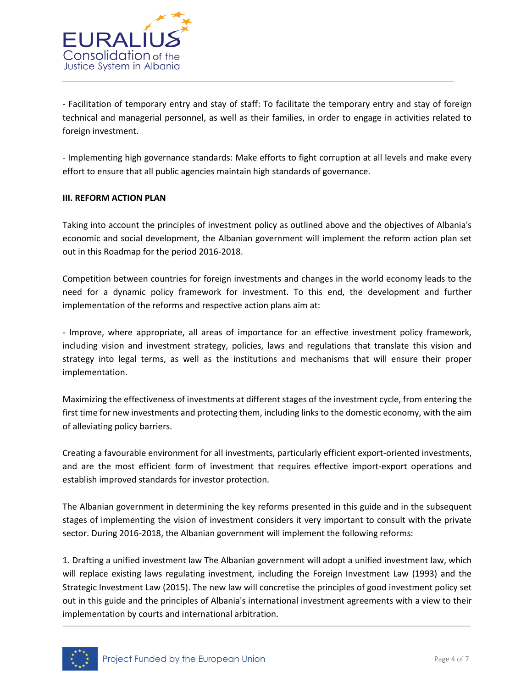

- Facilitation of temporary entry and stay of staff: To facilitate the temporary entry and stay of foreign technical and managerial personnel, as well as their families, in order to engage in activities related to foreign investment.

- Implementing high governance standards: Make efforts to fight corruption at all levels and make every effort to ensure that all public agencies maintain high standards of governance.

#### **III. REFORM ACTION PLAN**

Taking into account the principles of investment policy as outlined above and the objectives of Albania's economic and social development, the Albanian government will implement the reform action plan set out in this Roadmap for the period 2016-2018.

Competition between countries for foreign investments and changes in the world economy leads to the need for a dynamic policy framework for investment. To this end, the development and further implementation of the reforms and respective action plans aim at:

- Improve, where appropriate, all areas of importance for an effective investment policy framework, including vision and investment strategy, policies, laws and regulations that translate this vision and strategy into legal terms, as well as the institutions and mechanisms that will ensure their proper implementation.

Maximizing the effectiveness of investments at different stages of the investment cycle, from entering the first time for new investments and protecting them, including links to the domestic economy, with the aim of alleviating policy barriers.

Creating a favourable environment for all investments, particularly efficient export-oriented investments, and are the most efficient form of investment that requires effective import-export operations and establish improved standards for investor protection.

The Albanian government in determining the key reforms presented in this guide and in the subsequent stages of implementing the vision of investment considers it very important to consult with the private sector. During 2016-2018, the Albanian government will implement the following reforms:

1. Drafting a unified investment law The Albanian government will adopt a unified investment law, which will replace existing laws regulating investment, including the Foreign Investment Law (1993) and the Strategic Investment Law (2015). The new law will concretise the principles of good investment policy set out in this guide and the principles of Albania's international investment agreements with a view to their implementation by courts and international arbitration.

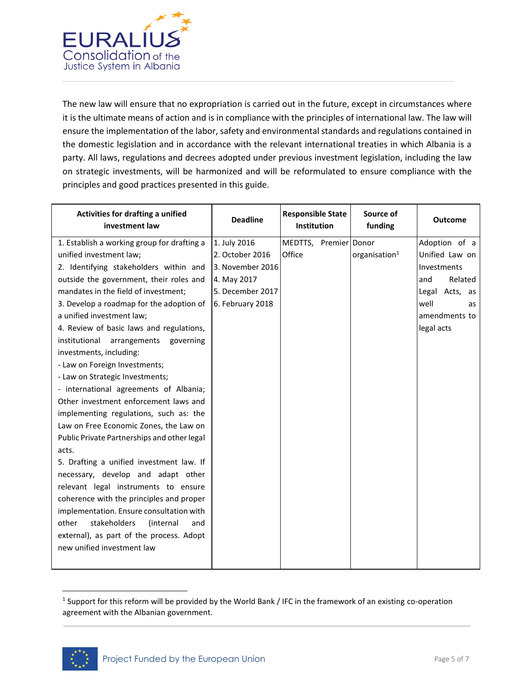

The new law will ensure that no expropriation is carried out in the future, except in circumstances where it is the ultimate means of action and is in compliance with the principles of international law. The law will ensure the implementation of the labor, safety and environmental standards and regulations contained in the domestic legislation and in accordance with the relevant international treaties in which Albania is a party. All laws, regulations and decrees adopted under previous investment legislation, including the law on strategic investments, will be harmonized and will be reformulated to ensure compliance with the principles and good practices presented in this guide.

| Activities for drafting a unified<br>investment law | <b>Deadline</b>  | <b>Responsible State</b><br><b>Institution</b> | Source of<br>funding      | <b>Outcome</b> |
|-----------------------------------------------------|------------------|------------------------------------------------|---------------------------|----------------|
| 1. Establish a working group for drafting a         | 1. July 2016     | MEDTTS, Premier Donor                          |                           | Adoption of a  |
| unified investment law;                             | 2. October 2016  | Office                                         | organisation <sup>1</sup> | Unified Law on |
| 2. Identifying stakeholders within and              | 3. November 2016 |                                                |                           | Investments    |
| outside the government, their roles and             | 4. May 2017      |                                                |                           | Related<br>and |
| mandates in the field of investment;                | 5. December 2017 |                                                |                           | Legal Acts, as |
| 3. Develop a roadmap for the adoption of            | 6. February 2018 |                                                |                           | well<br>as     |
| a unified investment law;                           |                  |                                                |                           | amendments to  |
| 4. Review of basic laws and regulations,            |                  |                                                |                           | legal acts     |
| institutional arrangements governing                |                  |                                                |                           |                |
| investments, including:                             |                  |                                                |                           |                |
| - Law on Foreign Investments;                       |                  |                                                |                           |                |
| - Law on Strategic Investments;                     |                  |                                                |                           |                |
| - international agreements of Albania;              |                  |                                                |                           |                |
| Other investment enforcement laws and               |                  |                                                |                           |                |
| implementing regulations, such as: the              |                  |                                                |                           |                |
| Law on Free Economic Zones, the Law on              |                  |                                                |                           |                |
| Public Private Partnerships and other legal         |                  |                                                |                           |                |
| acts.                                               |                  |                                                |                           |                |
| 5. Drafting a unified investment law. If            |                  |                                                |                           |                |
| necessary, develop and adapt other                  |                  |                                                |                           |                |
| relevant legal instruments to ensure                |                  |                                                |                           |                |
| coherence with the principles and proper            |                  |                                                |                           |                |
| implementation. Ensure consultation with            |                  |                                                |                           |                |
| stakeholders<br>(internal<br>other<br>and           |                  |                                                |                           |                |
| external), as part of the process. Adopt            |                  |                                                |                           |                |
| new unified investment law                          |                  |                                                |                           |                |
|                                                     |                  |                                                |                           |                |

<sup>&</sup>lt;sup>1</sup> Support for this reform will be provided by the World Bank / IFC in the framework of an existing co-operation agreement with the Albanian government.



 $\overline{a}$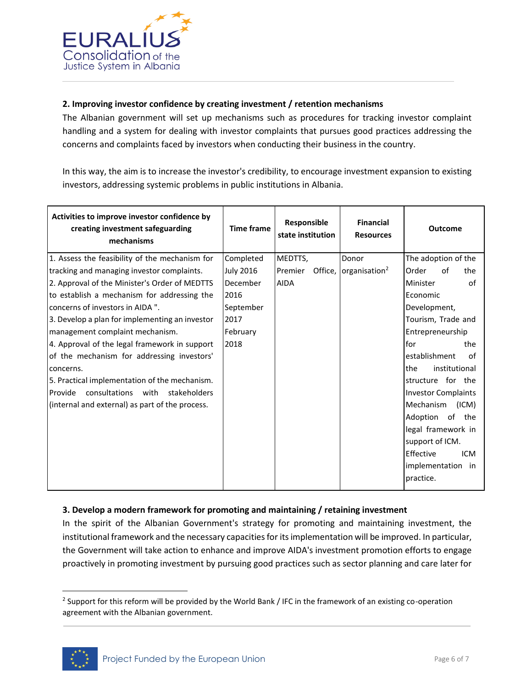

### **2. Improving investor confidence by creating investment / retention mechanisms**

The Albanian government will set up mechanisms such as procedures for tracking investor complaint handling and a system for dealing with investor complaints that pursues good practices addressing the concerns and complaints faced by investors when conducting their business in the country.

In this way, the aim is to increase the investor's credibility, to encourage investment expansion to existing investors, addressing systemic problems in public institutions in Albania.

| Activities to improve investor confidence by<br>creating investment safeguarding<br>mechanisms                                             | <b>Time frame</b>             | Responsible<br>state institution | <b>Financial</b><br><b>Resources</b> | <b>Outcome</b>                                   |
|--------------------------------------------------------------------------------------------------------------------------------------------|-------------------------------|----------------------------------|--------------------------------------|--------------------------------------------------|
| 1. Assess the feasibility of the mechanism for                                                                                             | Completed<br><b>July 2016</b> | MEDTTS,<br>Premier               | Donor<br>Office, $ organisation2$    | The adoption of the<br>Order<br>Ωf<br>the        |
| tracking and managing investor complaints.<br>2. Approval of the Minister's Order of MEDTTS<br>to establish a mechanism for addressing the | December<br>2016              | <b>AIDA</b>                      |                                      | of<br>Minister<br>Economic                       |
| concerns of investors in AIDA ".                                                                                                           | September                     |                                  |                                      | Development,                                     |
| 3. Develop a plan for implementing an investor<br>management complaint mechanism.                                                          | 2017<br>February              |                                  |                                      | Tourism, Trade and<br>Entrepreneurship           |
| 4. Approval of the legal framework in support<br>of the mechanism for addressing investors'                                                | 2018                          |                                  |                                      | for<br>the<br>establishment<br>Ωf                |
| concerns.<br>5. Practical implementation of the mechanism.                                                                                 |                               |                                  |                                      | the<br>institutional<br>structure for the        |
| consultations<br>with<br>stakeholders<br>Provide<br>(internal and external) as part of the process.                                        |                               |                                  |                                      | <b>Investor Complaints</b><br>Mechanism<br>(ICM) |
|                                                                                                                                            |                               |                                  |                                      | Adoption<br>of the<br>legal framework in         |
|                                                                                                                                            |                               |                                  |                                      | support of ICM.<br>Effective<br><b>ICM</b>       |
|                                                                                                                                            |                               |                                  |                                      | implementation in<br>practice.                   |

#### **3. Develop a modern framework for promoting and maintaining / retaining investment**

In the spirit of the Albanian Government's strategy for promoting and maintaining investment, the institutional framework and the necessary capacities for its implementation will be improved. In particular, the Government will take action to enhance and improve AIDA's investment promotion efforts to engage proactively in promoting investment by pursuing good practices such as sector planning and care later for

<sup>&</sup>lt;sup>2</sup> Support for this reform will be provided by the World Bank / IFC in the framework of an existing co-operation agreement with the Albanian government.



 $\overline{a}$